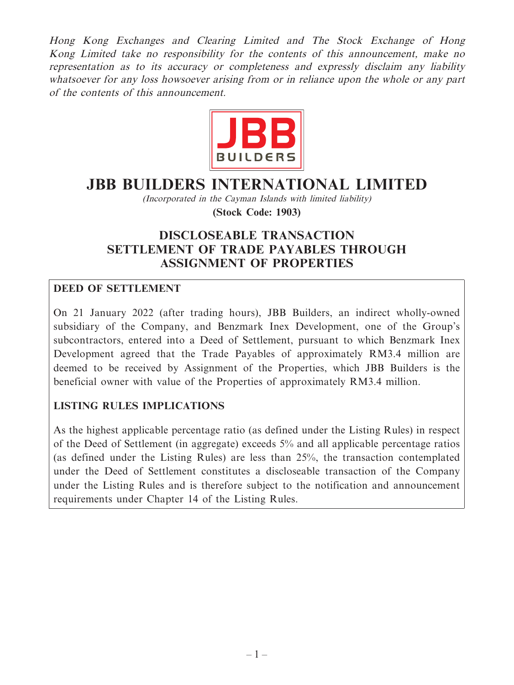Hong Kong Exchanges and Clearing Limited and The Stock Exchange of Hong Kong Limited take no responsibility for the contents of this announcement, make no representation as to its accuracy or completeness and expressly disclaim any liability whatsoever for any loss howsoever arising from or in reliance upon the whole or any part of the contents of this announcement.



# **JBB BUILDERS INTERNATIONAL LIMITED**

(Incorporated in the Cayman Islands with limited liability) **(Stock Code: 1903)**

# **DISCLOSEABLE TRANSACTION SETTLEMENT OF TRADE PAYABLES THROUGH ASSIGNMENT OF PROPERTIES**

# **DEED OF SETTLEMENT**

On 21 January 2022 (after trading hours), JBB Builders, an indirect wholly-owned subsidiary of the Company, and Benzmark Inex Development, one of the Group's subcontractors, entered into a Deed of Settlement, pursuant to which Benzmark Inex Development agreed that the Trade Payables of approximately RM3.4 million are deemed to be received by Assignment of the Properties, which JBB Builders is the beneficial owner with value of the Properties of approximately RM3.4 million.

# **LISTING RULES IMPLICATIONS**

As the highest applicable percentage ratio (as defined under the Listing Rules) in respect of the Deed of Settlement (in aggregate) exceeds 5% and all applicable percentage ratios (as defined under the Listing Rules) are less than 25%, the transaction contemplated under the Deed of Settlement constitutes a discloseable transaction of the Company under the Listing Rules and is therefore subject to the notification and announcement requirements under Chapter 14 of the Listing Rules.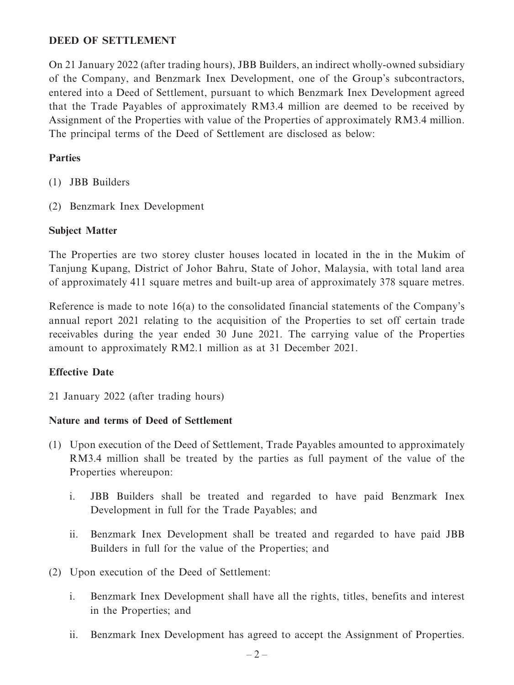#### **DEED OF SETTLEMENT**

On 21 January 2022 (after trading hours), JBB Builders, an indirect wholly-owned subsidiary of the Company, and Benzmark Inex Development, one of the Group's subcontractors, entered into a Deed of Settlement, pursuant to which Benzmark Inex Development agreed that the Trade Payables of approximately RM3.4 million are deemed to be received by Assignment of the Properties with value of the Properties of approximately RM3.4 million. The principal terms of the Deed of Settlement are disclosed as below:

### **Parties**

- (1) JBB Builders
- (2) Benzmark Inex Development

#### **Subject Matter**

The Properties are two storey cluster houses located in located in the in the Mukim of Tanjung Kupang, District of Johor Bahru, State of Johor, Malaysia, with total land area of approximately 411 square metres and built-up area of approximately 378 square metres.

Reference is made to note 16(a) to the consolidated financial statements of the Company's annual report 2021 relating to the acquisition of the Properties to set off certain trade receivables during the year ended 30 June 2021. The carrying value of the Properties amount to approximately RM2.1 million as at 31 December 2021.

# **Effective Date**

21 January 2022 (after trading hours)

#### **Nature and terms of Deed of Settlement**

- (1) Upon execution of the Deed of Settlement, Trade Payables amounted to approximately RM3.4 million shall be treated by the parties as full payment of the value of the Properties whereupon:
	- i. JBB Builders shall be treated and regarded to have paid Benzmark Inex Development in full for the Trade Payables; and
	- ii. Benzmark Inex Development shall be treated and regarded to have paid JBB Builders in full for the value of the Properties; and
- (2) Upon execution of the Deed of Settlement:
	- i. Benzmark Inex Development shall have all the rights, titles, benefits and interest in the Properties; and
	- ii. Benzmark Inex Development has agreed to accept the Assignment of Properties.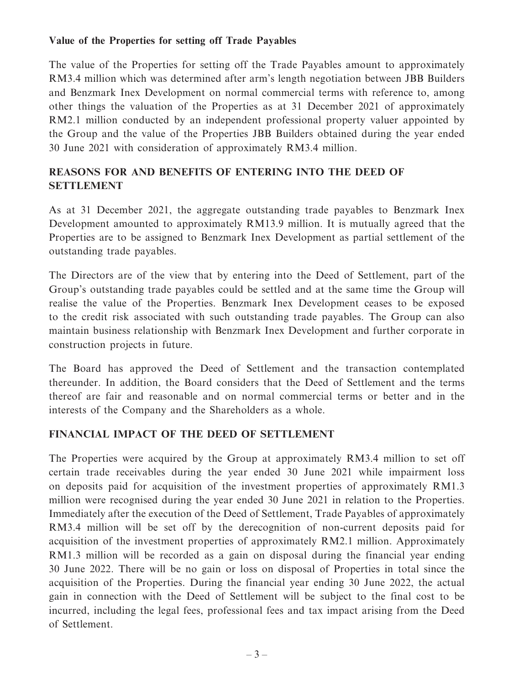#### **Value of the Properties for setting off Trade Payables**

The value of the Properties for setting off the Trade Payables amount to approximately RM3.4 million which was determined after arm's length negotiation between JBB Builders and Benzmark Inex Development on normal commercial terms with reference to, among other things the valuation of the Properties as at 31 December 2021 of approximately RM2.1 million conducted by an independent professional property valuer appointed by the Group and the value of the Properties JBB Builders obtained during the year ended 30 June 2021 with consideration of approximately RM3.4 million.

# **REASONS FOR AND BENEFITS OF ENTERING INTO THE DEED OF SETTLEMENT**

As at 31 December 2021, the aggregate outstanding trade payables to Benzmark Inex Development amounted to approximately RM13.9 million. It is mutually agreed that the Properties are to be assigned to Benzmark Inex Development as partial settlement of the outstanding trade payables.

The Directors are of the view that by entering into the Deed of Settlement, part of the Group's outstanding trade payables could be settled and at the same time the Group will realise the value of the Properties. Benzmark Inex Development ceases to be exposed to the credit risk associated with such outstanding trade payables. The Group can also maintain business relationship with Benzmark Inex Development and further corporate in construction projects in future.

The Board has approved the Deed of Settlement and the transaction contemplated thereunder. In addition, the Board considers that the Deed of Settlement and the terms thereof are fair and reasonable and on normal commercial terms or better and in the interests of the Company and the Shareholders as a whole.

# **FINANCIAL IMPACT OF THE DEED OF SETTLEMENT**

The Properties were acquired by the Group at approximately RM3.4 million to set off certain trade receivables during the year ended 30 June 2021 while impairment loss on deposits paid for acquisition of the investment properties of approximately RM1.3 million were recognised during the year ended 30 June 2021 in relation to the Properties. Immediately after the execution of the Deed of Settlement, Trade Payables of approximately RM3.4 million will be set off by the derecognition of non-current deposits paid for acquisition of the investment properties of approximately RM2.1 million. Approximately RM1.3 million will be recorded as a gain on disposal during the financial year ending 30 June 2022. There will be no gain or loss on disposal of Properties in total since the acquisition of the Properties. During the financial year ending 30 June 2022, the actual gain in connection with the Deed of Settlement will be subject to the final cost to be incurred, including the legal fees, professional fees and tax impact arising from the Deed of Settlement.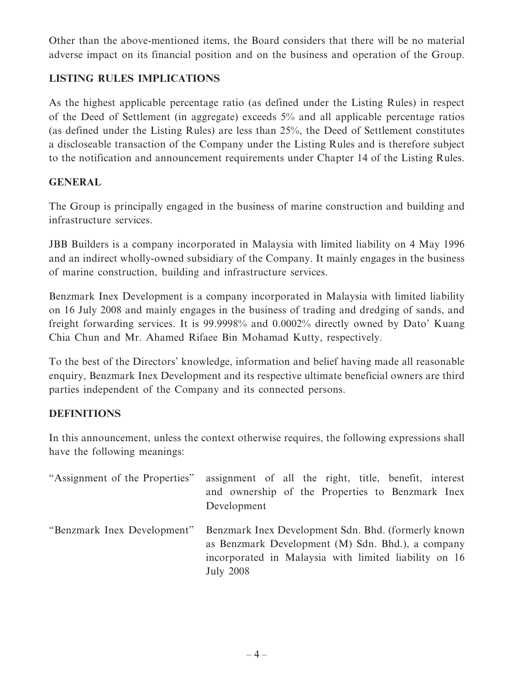Other than the above-mentioned items, the Board considers that there will be no material adverse impact on its financial position and on the business and operation of the Group.

# **LISTING RULES IMPLICATIONS**

As the highest applicable percentage ratio (as defined under the Listing Rules) in respect of the Deed of Settlement (in aggregate) exceeds 5% and all applicable percentage ratios (as defined under the Listing Rules) are less than 25%, the Deed of Settlement constitutes a discloseable transaction of the Company under the Listing Rules and is therefore subject to the notification and announcement requirements under Chapter 14 of the Listing Rules.

# **GENERAL**

The Group is principally engaged in the business of marine construction and building and infrastructure services.

JBB Builders is a company incorporated in Malaysia with limited liability on 4 May 1996 and an indirect wholly-owned subsidiary of the Company. It mainly engages in the business of marine construction, building and infrastructure services.

Benzmark Inex Development is a company incorporated in Malaysia with limited liability on 16 July 2008 and mainly engages in the business of trading and dredging of sands, and freight forwarding services. It is 99.9998% and 0.0002% directly owned by Dato' Kuang Chia Chun and Mr. Ahamed Rifaee Bin Mohamad Kutty, respectively.

To the best of the Directors' knowledge, information and belief having made all reasonable enquiry, Benzmark Inex Development and its respective ultimate beneficial owners are third parties independent of the Company and its connected persons.

# **DEFINITIONS**

In this announcement, unless the context otherwise requires, the following expressions shall have the following meanings:

| "Assignment of the Properties" | assignment of all the right, title, benefit, interest<br>and ownership of the Properties to Benzmark Inex<br>Development                                                               |
|--------------------------------|----------------------------------------------------------------------------------------------------------------------------------------------------------------------------------------|
| "Benzmark Inex Development"    | Benzmark Inex Development Sdn. Bhd. (formerly known)<br>as Benzmark Development (M) Sdn. Bhd.), a company<br>incorporated in Malaysia with limited liability on 16<br><b>July 2008</b> |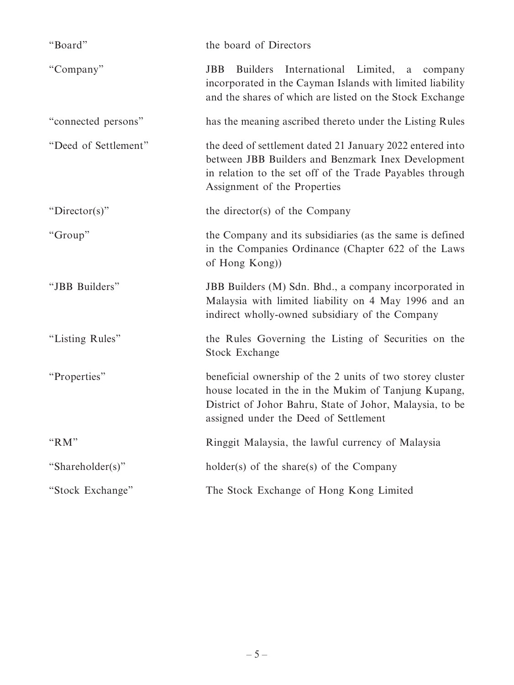| "Board"              | the board of Directors                                                                                                                                                                                                 |
|----------------------|------------------------------------------------------------------------------------------------------------------------------------------------------------------------------------------------------------------------|
| "Company"            | Builders International Limited, a<br><b>JBB</b><br>company<br>incorporated in the Cayman Islands with limited liability<br>and the shares of which are listed on the Stock Exchange                                    |
| "connected persons"  | has the meaning ascribed thereto under the Listing Rules                                                                                                                                                               |
| "Deed of Settlement" | the deed of settlement dated 21 January 2022 entered into<br>between JBB Builders and Benzmark Inex Development<br>in relation to the set off of the Trade Payables through<br>Assignment of the Properties            |
| "Director(s)"        | the director(s) of the Company                                                                                                                                                                                         |
| "Group"              | the Company and its subsidiaries (as the same is defined<br>in the Companies Ordinance (Chapter 622 of the Laws<br>of Hong Kong))                                                                                      |
| "JBB Builders"       | JBB Builders (M) Sdn. Bhd., a company incorporated in<br>Malaysia with limited liability on 4 May 1996 and an<br>indirect wholly-owned subsidiary of the Company                                                       |
| "Listing Rules"      | the Rules Governing the Listing of Securities on the<br>Stock Exchange                                                                                                                                                 |
| "Properties"         | beneficial ownership of the 2 units of two storey cluster<br>house located in the in the Mukim of Tanjung Kupang,<br>District of Johor Bahru, State of Johor, Malaysia, to be<br>assigned under the Deed of Settlement |
| "RM"                 | Ringgit Malaysia, the lawful currency of Malaysia                                                                                                                                                                      |
| "Shareholder(s)"     | $holder(s)$ of the share(s) of the Company                                                                                                                                                                             |
| "Stock Exchange"     | The Stock Exchange of Hong Kong Limited                                                                                                                                                                                |